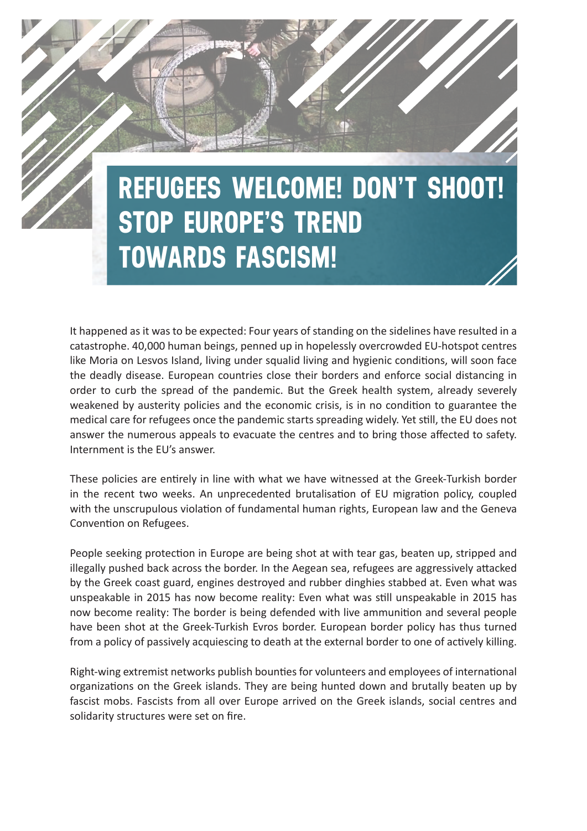# **REFUGEES WELCOME! DON'T SHOOT! STOP EUROPE'S TREND TOWARDS FASCISM!**

It happened as it was to be expected: Four years of standing on the sidelines have resulted in a catastrophe. 40,000 human beings, penned up in hopelessly overcrowded EU-hotspot centres like Moria on Lesvos Island, living under squalid living and hygienic conditions, will soon face the deadly disease. European countries close their borders and enforce social distancing in order to curb the spread of the pandemic. But the Greek health system, already severely weakened by austerity policies and the economic crisis, is in no condition to guarantee the medical care for refugees once the pandemic starts spreading widely. Yet still, the EU does not answer the numerous appeals to evacuate the centres and to bring those affected to safety. Internment is the EU's answer.

These policies are entirely in line with what we have witnessed at the Greek-Turkish border in the recent two weeks. An unprecedented brutalisation of EU migration policy, coupled with the unscrupulous violation of fundamental human rights, European law and the Geneva Convention on Refugees.

People seeking protection in Europe are being shot at with tear gas, beaten up, stripped and illegally pushed back across the border. In the Aegean sea, refugees are aggressively attacked by the Greek coast guard, engines destroyed and rubber dinghies stabbed at. Even what was unspeakable in 2015 has now become reality: Even what was still unspeakable in 2015 has now become reality: The border is being defended with live ammunition and several people have been shot at the Greek-Turkish Evros border. European border policy has thus turned from a policy of passively acquiescing to death at the external border to one of actively killing.

Right-wing extremist networks publish bounties for volunteers and employees of international organizations on the Greek islands. They are being hunted down and brutally beaten up by fascist mobs. Fascists from all over Europe arrived on the Greek islands, social centres and solidarity structures were set on fire.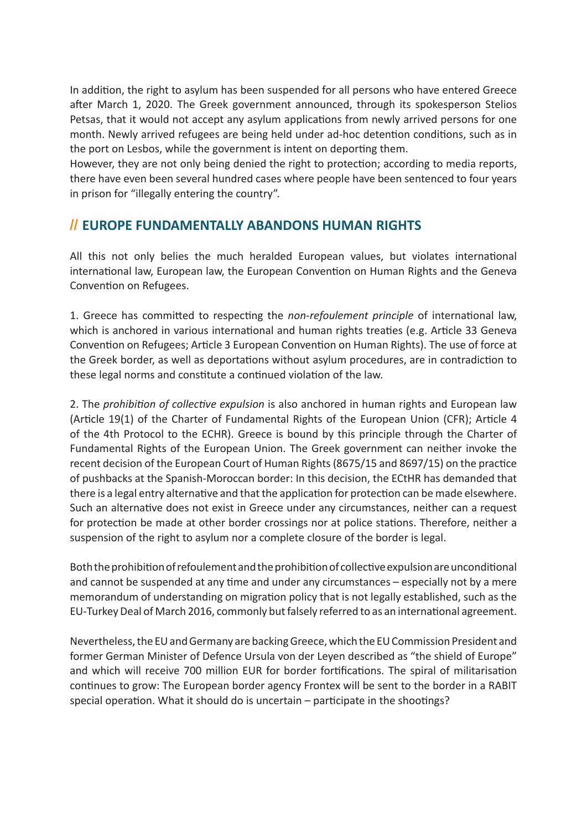In addition, the right to asylum has been suspended for all persons who have entered Greece after March 1, 2020. The Greek government announced, through its spokesperson Stelios Petsas, that it would not accept any asylum applications from newly arrived persons for one month. Newly arrived refugees are being held under ad-hoc detention conditions, such as in the port on Lesbos, while the government is intent on deporting them.

However, they are not only being denied the right to protection; according to media reports, there have even been several hundred cases where people have been sentenced to four years in prison for "illegally entering the country".

### **// EUROPE FUNDAMENTALLY ABANDONS HUMAN RIGHTS**

All this not only belies the much heralded European values, but violates international international law, European law, the European Convention on Human Rights and the Geneva Convention on Refugees.

1. Greece has committed to respecting the *non-refoulement principle* of international law, which is anchored in various international and human rights treaties (e.g. Article 33 Geneva Convention on Refugees; Article 3 European Convention on Human Rights). The use of force at the Greek border, as well as deportations without asylum procedures, are in contradiction to these legal norms and constitute a continued violation of the law.

2. The *prohibition of collective expulsion* is also anchored in human rights and European law (Article 19(1) of the Charter of Fundamental Rights of the European Union (CFR); Article 4 of the 4th Protocol to the ECHR). Greece is bound by this principle through the Charter of Fundamental Rights of the European Union. The Greek government can neither invoke the recent decision of the European Court of Human Rights (8675/15 and 8697/15) on the practice of pushbacks at the Spanish-Moroccan border: In this decision, the ECtHR has demanded that there is a legal entry alternative and that the application for protection can be made elsewhere. Such an alternative does not exist in Greece under any circumstances, neither can a request for protection be made at other border crossings nor at police stations. Therefore, neither a suspension of the right to asylum nor a complete closure of the border is legal.

Both the prohibition of refoulement and the prohibition of collective expulsion are unconditional and cannot be suspended at any time and under any circumstances – especially not by a mere memorandum of understanding on migration policy that is not legally established, such as the EU-Turkey Deal of March 2016, commonly but falsely referred to as an international agreement.

Nevertheless, the EU and Germany are backing Greece, which the EU Commission President and former German Minister of Defence Ursula von der Leyen described as "the shield of Europe" and which will receive 700 million EUR for border fortifications. The spiral of militarisation continues to grow: The European border agency Frontex will be sent to the border in a RABIT special operation. What it should do is uncertain – participate in the shootings?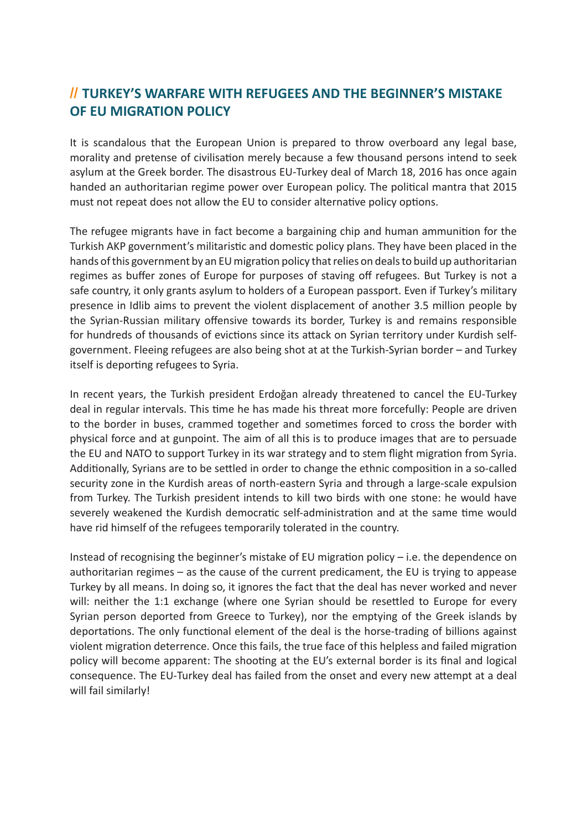## **// TURKEY'S WARFARE WITH REFUGEES AND THE BEGINNER'S MISTAKE OF EU MIGRATION POLICY**

It is scandalous that the European Union is prepared to throw overboard any legal base, morality and pretense of civilisation merely because a few thousand persons intend to seek asylum at the Greek border. The disastrous EU-Turkey deal of March 18, 2016 has once again handed an authoritarian regime power over European policy. The political mantra that 2015 must not repeat does not allow the EU to consider alternative policy options.

The refugee migrants have in fact become a bargaining chip and human ammunition for the Turkish AKP government's militaristic and domestic policy plans. They have been placed in the hands of this government by an EU migration policy that relies on deals to build up authoritarian regimes as buffer zones of Europe for purposes of staving off refugees. But Turkey is not a safe country, it only grants asylum to holders of a European passport. Even if Turkey's military presence in Idlib aims to prevent the violent displacement of another 3.5 million people by the Syrian-Russian military offensive towards its border, Turkey is and remains responsible for hundreds of thousands of evictions since its attack on Syrian territory under Kurdish selfgovernment. Fleeing refugees are also being shot at at the Turkish-Syrian border – and Turkey itself is deporting refugees to Syria.

In recent years, the Turkish president Erdoğan already threatened to cancel the EU-Turkey deal in regular intervals. This time he has made his threat more forcefully: People are driven to the border in buses, crammed together and sometimes forced to cross the border with physical force and at gunpoint. The aim of all this is to produce images that are to persuade the EU and NATO to support Turkey in its war strategy and to stem flight migration from Syria. Additionally, Syrians are to be settled in order to change the ethnic composition in a so-called security zone in the Kurdish areas of north-eastern Syria and through a large-scale expulsion from Turkey. The Turkish president intends to kill two birds with one stone: he would have severely weakened the Kurdish democratic self-administration and at the same time would have rid himself of the refugees temporarily tolerated in the country.

Instead of recognising the beginner's mistake of EU migration policy – i.e. the dependence on authoritarian regimes – as the cause of the current predicament, the EU is trying to appease Turkey by all means. In doing so, it ignores the fact that the deal has never worked and never will: neither the 1:1 exchange (where one Syrian should be resettled to Europe for every Syrian person deported from Greece to Turkey), nor the emptying of the Greek islands by deportations. The only functional element of the deal is the horse-trading of billions against violent migration deterrence. Once this fails, the true face of this helpless and failed migration policy will become apparent: The shooting at the EU's external border is its final and logical consequence. The EU-Turkey deal has failed from the onset and every new attempt at a deal will fail similarly!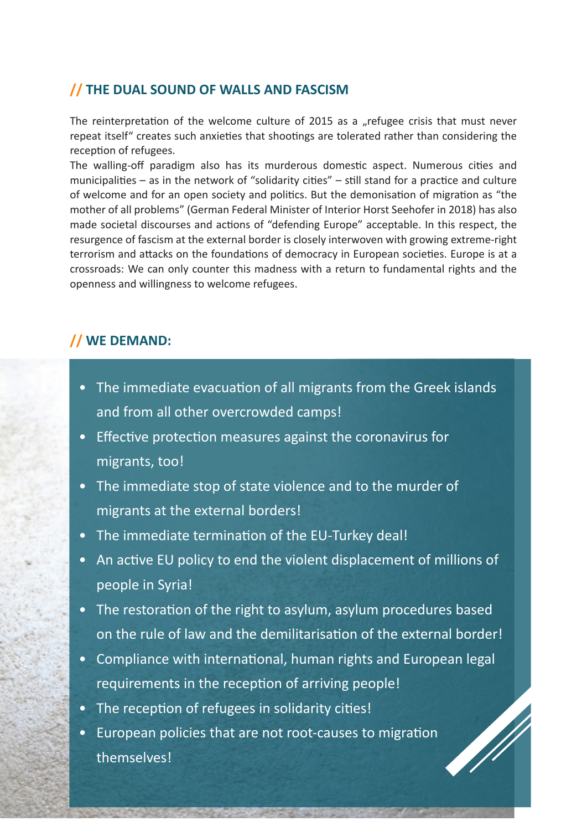#### **// THE DUAL SOUND OF WALLS AND FASCISM**

The reinterpretation of the welcome culture of 2015 as a "refugee crisis that must never repeat itself" creates such anxieties that shootings are tolerated rather than considering the reception of refugees.

The walling-off paradigm also has its murderous domestic aspect. Numerous cities and municipalities – as in the network of "solidarity cities" – still stand for a practice and culture of welcome and for an open society and politics. But the demonisation of migration as "the mother of all problems" (German Federal Minister of Interior Horst Seehofer in 2018) has also made societal discourses and actions of "defending Europe" acceptable. In this respect, the resurgence of fascism at the external border is closely interwoven with growing extreme-right terrorism and attacks on the foundations of democracy in European societies. Europe is at a crossroads: We can only counter this madness with a return to fundamental rights and the openness and willingness to welcome refugees.

#### **// WE DEMAND:**

- The immediate evacuation of all migrants from the Greek islands and from all other overcrowded camps!
- Effective protection measures against the coronavirus for migrants, too!
- The immediate stop of state violence and to the murder of migrants at the external borders!
- The immediate termination of the EU-Turkey deal!
- An active EU policy to end the violent displacement of millions of people in Syria!
- The restoration of the right to asylum, asylum procedures based on the rule of law and the demilitarisation of the external border!
- Compliance with international, human rights and European legal requirements in the reception of arriving people!
- The reception of refugees in solidarity cities!
- European policies that are not root-causes to migration themselves!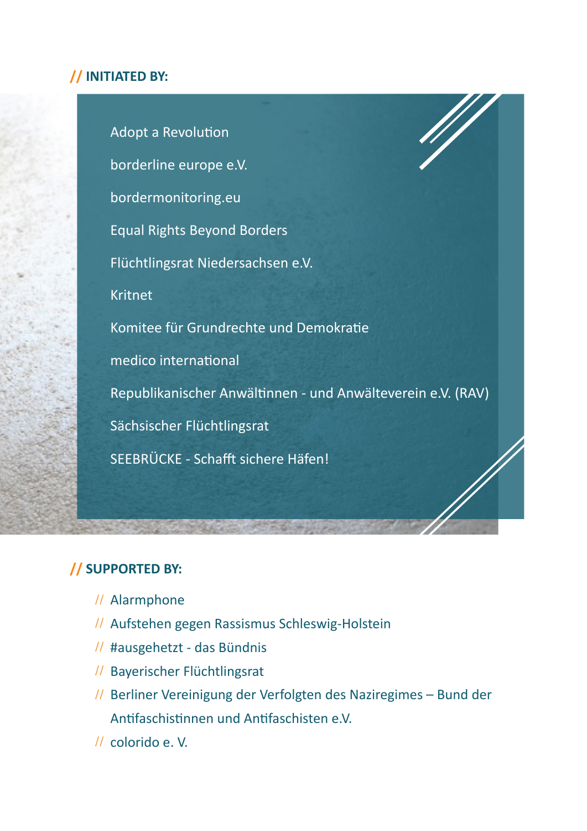## **// INITIATED BY:**

Adopt a Revolution borderline europe e.V. bordermonitoring.eu Equal Rights Beyond Borders Flüchtlingsrat Niedersachsen e.V. Kritnet Komitee für Grundrechte und Demokratie medico international Republikanischer Anwältinnen - und Anwälteverein e.V. (RAV) Sächsischer Flüchtlingsrat SEEBRÜCKE - Schafft sichere Häfen!

## **// SUPPORTED BY:**

- Alarmphone //
- // Aufstehen gegen Rassismus Schleswig-Holstein
- // #ausgehetzt das Bündnis
- // Bayerischer Flüchtlingsrat
- // Berliner Vereinigung der Verfolgten des Naziregimes Bund der Antifaschistinnen und Antifaschisten e.V.
- // colorido e.V.